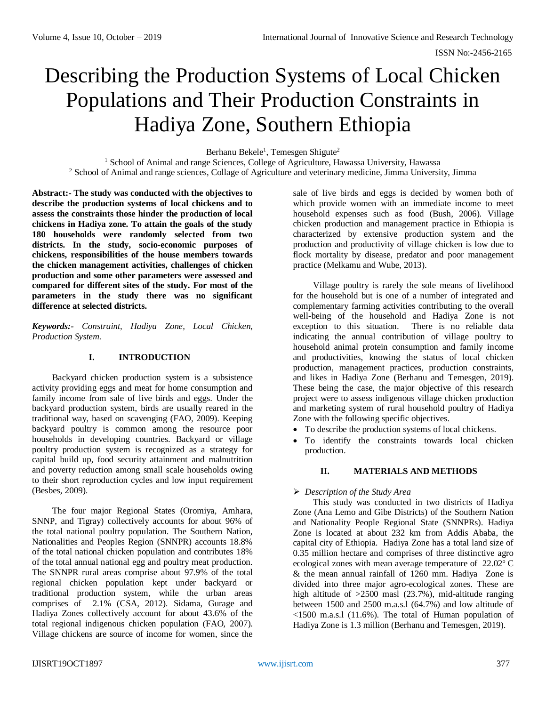# Describing the Production Systems of Local Chicken Populations and Their Production Constraints in Hadiya Zone, Southern Ethiopia

Berhanu Bekele<sup>1</sup>, Temesgen Shigute<sup>2</sup>

<sup>1</sup> School of Animal and range Sciences, College of Agriculture, Hawassa University, Hawassa <sup>2</sup> School of Animal and range sciences, Collage of Agriculture and veterinary medicine, Jimma University, Jimma

**Abstract:- The study was conducted with the objectives to describe the production systems of local chickens and to assess the constraints those hinder the production of local chickens in Hadiya zone. To attain the goals of the study 180 households were randomly selected from two districts. In the study, socio-economic purposes of chickens, responsibilities of the house members towards the chicken management activities, challenges of chicken production and some other parameters were assessed and compared for different sites of the study. For most of the parameters in the study there was no significant difference at selected districts.** 

*Keywords:- Constraint, Hadiya Zone, Local Chicken, Production System.*

## **I. INTRODUCTION**

Backyard chicken production system is a subsistence activity providing eggs and meat for home consumption and family income from sale of live birds and eggs. Under the backyard production system, birds are usually reared in the traditional way, based on scavenging (FAO, 2009). Keeping backyard poultry is common among the resource poor households in developing countries. Backyard or village poultry production system is recognized as a strategy for capital build up, food security attainment and malnutrition and poverty reduction among small scale households owing to their short reproduction cycles and low input requirement (Besbes, 2009).

The four major Regional States (Oromiya, Amhara, SNNP, and Tigray) collectively accounts for about 96% of the total national poultry population. The Southern Nation, Nationalities and Peoples Region (SNNPR) accounts 18.8% of the total national chicken population and contributes 18% of the total annual national egg and poultry meat production. The SNNPR rural areas comprise about 97.9% of the total regional chicken population kept under backyard or traditional production system, while the urban areas comprises of 2.1% (CSA, 2012). Sidama, Gurage and Hadiya Zones collectively account for about 43.6% of the total regional indigenous chicken population (FAO, 2007). Village chickens are source of income for women, since the sale of live birds and eggs is decided by women both of which provide women with an immediate income to meet household expenses such as food (Bush, 2006). Village chicken production and management practice in Ethiopia is characterized by extensive production system and the production and productivity of village chicken is low due to flock mortality by disease, predator and poor management practice (Melkamu and Wube, 2013).

Village poultry is rarely the sole means of livelihood for the household but is one of a number of integrated and complementary farming activities contributing to the overall well-being of the household and Hadiya Zone is not exception to this situation. There is no reliable data indicating the annual contribution of village poultry to household animal protein consumption and family income and productivities, knowing the status of local chicken production, management practices, production constraints, and likes in Hadiya Zone (Berhanu and Temesgen, 2019). These being the case, the major objective of this research project were to assess indigenous village chicken production and marketing system of rural household poultry of Hadiya Zone with the following specific objectives.

- To describe the production systems of local chickens.
- To identify the constraints towards local chicken production.

## **II. MATERIALS AND METHODS**

## *Description of the Study Area*

This study was conducted in two districts of Hadiya Zone (Ana Lemo and Gibe Districts) of the Southern Nation and Nationality People Regional State (SNNPRs). Hadiya Zone is located at about 232 km from Addis Ababa, the capital city of Ethiopia. Hadiya Zone has a total land size of 0.35 million hectare and comprises of three distinctive agro ecological zones with mean average temperature of 22.02° C & the mean annual rainfall of 1260 mm. Hadiya Zone is divided into three major agro-ecological zones. These are high altitude of  $>2500$  masl (23.7%), mid-altitude ranging between 1500 and 2500 m.a.s.l (64.7%) and low altitude of <1500 m.a.s.l (11.6%). The total of Human population of Hadiya Zone is 1.3 million (Berhanu and Temesgen, 2019).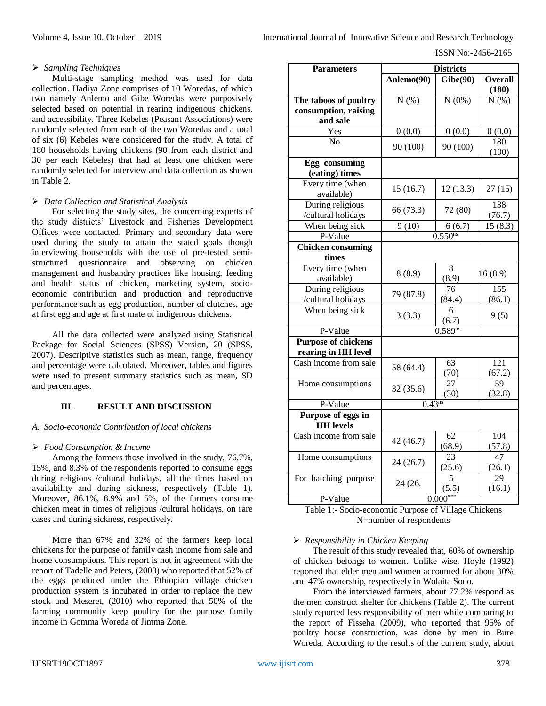#### ISSN No:-2456-2165

### *Sampling Techniques*

Multi-stage sampling method was used for data collection. Hadiya Zone comprises of 10 Woredas, of which two namely Anlemo and Gibe Woredas were purposively selected based on potential in rearing indigenous chickens. and accessibility. Three Kebeles (Peasant Associations) were randomly selected from each of the two Woredas and a total of six (6) Kebeles were considered for the study. A total of 180 households having chickens (90 from each district and 30 per each Kebeles) that had at least one chicken were randomly selected for interview and data collection as shown in Table 2.

#### *Data Collection and Statistical Analysis*

For selecting the study sites, the concerning experts of the study districts' Livestock and Fisheries Development Offices were contacted. Primary and secondary data were used during the study to attain the stated goals though interviewing households with the use of pre-tested semistructured questionnaire and observing on chicken management and husbandry practices like housing, feeding and health status of chicken, marketing system, socioeconomic contribution and production and reproductive performance such as egg production, number of clutches, age at first egg and age at first mate of indigenous chickens.

All the data collected were analyzed using Statistical Package for Social Sciences (SPSS) Version, 20 (SPSS, 2007). Descriptive statistics such as mean, range, frequency and percentage were calculated. Moreover, tables and figures were used to present summary statistics such as mean, SD and percentages.

## **III. RESULT AND DISCUSSION**

## *A. Socio-economic Contribution of local chickens*

#### *Food Consumption & Income*

Among the farmers those involved in the study, 76.7%, 15%, and 8.3% of the respondents reported to consume eggs during religious /cultural holidays, all the times based on availability and during sickness, respectively (Table 1). Moreover, 86.1%, 8.9% and 5%, of the farmers consume chicken meat in times of religious /cultural holidays, on rare cases and during sickness, respectively.

More than 67% and 32% of the farmers keep local chickens for the purpose of family cash income from sale and home consumptions. This report is not in agreement with the report of Tadelle and Peters, (2003) who reported that 52% of the eggs produced under the Ethiopian village chicken production system is incubated in order to replace the new stock and Meseret, (2010) who reported that 50% of the farming community keep poultry for the purpose family income in Gomma Woreda of Jimma Zone.

| <b>Parameters</b>                                 | <b>Districts</b> |              |                         |  |
|---------------------------------------------------|------------------|--------------|-------------------------|--|
|                                                   | Anlemo(90)       | Gibe(90)     | <b>Overall</b><br>(180) |  |
| The taboos of poultry                             | N(%)             | N(0%)        | N(% )                   |  |
| consumption, raising                              |                  |              |                         |  |
| and sale                                          |                  |              |                         |  |
| Yes                                               | 0(0.0)           | 0(0.0)       | 0(0.0)                  |  |
| N <sub>o</sub>                                    | 90 (100)         | 90 (100)     | 180<br>(100)            |  |
| Egg consuming<br>(eating) times                   |                  |              |                         |  |
| Every time (when<br>available)                    | 15(16.7)         | 12(13.3)     | 27(15)                  |  |
| During religious<br>/cultural holidays            | 66 (73.3)        | 72 (80)      | 138<br>(76.7)           |  |
| When being sick                                   | 9(10)            | 6(6.7)       | 15(8.3)                 |  |
| P-Value                                           |                  | $0.550^{ns}$ |                         |  |
| <b>Chicken consuming</b>                          |                  |              |                         |  |
| times                                             |                  |              |                         |  |
| Every time (when<br>available)                    | 8(8.9)           | 8<br>(8.9)   | 16(8.9)                 |  |
| During religious                                  | 79 (87.8)        | 76           | 155                     |  |
| /cultural holidays                                |                  | (84.4)       | (86.1)                  |  |
| When being sick                                   | 3(3.3)           | 6<br>(6.7)   | 9(5)                    |  |
| P-Value                                           |                  | $0.589^{ns}$ |                         |  |
| <b>Purpose of chickens</b><br>rearing in HH level |                  |              |                         |  |
| Cash income from sale                             | 58 (64.4)        | 63<br>(70)   | 121<br>(67.2)           |  |
| Home consumptions                                 | 32(35.6)         | 27<br>(30)   | 59<br>(32.8)            |  |
| P-Value                                           | $0.43^{ns}$      |              |                         |  |
| Purpose of eggs in<br><b>HH</b> levels            |                  |              |                         |  |
| Cash income from sale                             | 42 (46.7)        | 62<br>(68.9) | 104<br>(57.8)           |  |
| Home consumptions                                 | 24(26.7)         | 23<br>(25.6) | 47<br>(26.1)            |  |
| For hatching purpose                              | 24 (26.          | 5<br>(5.5)   | 29<br>(16.1)            |  |
| P-Value                                           | $0.000***$       |              |                         |  |

Table 1:- Socio-economic Purpose of Village Chickens N=number of respondents

#### *Responsibility in Chicken Keeping*

The result of this study revealed that, 60% of ownership of chicken belongs to women. Unlike wise, Hoyle (1992) reported that elder men and women accounted for about 30% and 47% ownership, respectively in Wolaita Sodo.

From the interviewed farmers, about 77.2% respond as the men construct shelter for chickens (Table 2). The current study reported less responsibility of men while comparing to the report of Fisseha (2009), who reported that 95% of poultry house construction, was done by men in Bure Woreda. According to the results of the current study, about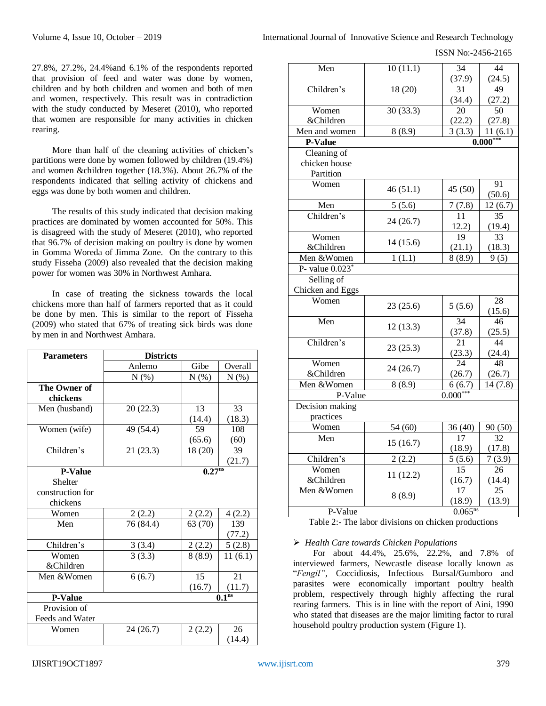ISSN No:-2456-2165

27.8%, 27.2%, 24.4%and 6.1% of the respondents reported that provision of feed and water was done by women, children and by both children and women and both of men and women, respectively. This result was in contradiction with the study conducted by Meseret (2010), who reported that women are responsible for many activities in chicken rearing.

More than half of the cleaning activities of chicken's partitions were done by women followed by children (19.4%) and women &children together (18.3%). About 26.7% of the respondents indicated that selling activity of chickens and eggs was done by both women and children.

The results of this study indicated that decision making practices are dominated by women accounted for 50%. This is disagreed with the study of Meseret (2010), who reported that 96.7% of decision making on poultry is done by women in Gomma Woreda of Jimma Zone. On the contrary to this study Fisseha (2009) also revealed that the decision making power for women was 30% in Northwest Amhara.

In case of treating the sickness towards the local chickens more than half of farmers reported that as it could be done by men. This is similar to the report of Fisseha (2009) who stated that 67% of treating sick birds was done by men in and Northwest Amhara.

| <b>Parameters</b>        | <b>Districts</b> |                    |                   |
|--------------------------|------------------|--------------------|-------------------|
|                          | Anlemo           | Gibe               | Overall           |
|                          | N(% )            | N(%)               | $N(\%)$           |
| The Owner of<br>chickens |                  |                    |                   |
| Men (husband)            | 20(22.3)         | 13                 | 33                |
|                          |                  | (14.4)             | (18.3)            |
| Women (wife)             | 49 (54.4)        | 59                 | 108               |
|                          |                  | (65.6)             | (60)              |
| Children's               | 21(23.3)         | 18 (20)            | 39                |
|                          |                  |                    | (21.7)            |
| <b>P-Value</b>           |                  | 0.27 <sup>ns</sup> |                   |
| Shelter                  |                  |                    |                   |
| construction for         |                  |                    |                   |
| chickens                 |                  |                    |                   |
| Women                    | 2(2.2)           | 2(2.2)             | 4(2.2)            |
| Men                      | 76 (84.4)        | 63 (70)            | 139               |
|                          |                  |                    | (77.2)            |
| Children's               | 3(3.4)           | 2(2.2)             | 5(2.8)            |
| Women                    | 3(3.3)           | 8(8.9)             | 11(6.1)           |
| &Children                |                  |                    |                   |
| Men &Women               | 6(6.7)           | 15                 | 21                |
|                          |                  | (16.7)             | (11.7)            |
| <b>P-Value</b>           |                  |                    | 0.1 <sup>ns</sup> |
| Provision of             |                  |                    |                   |
| Feeds and Water          |                  |                    |                   |
| Women                    | 24 (26.7)        | 2(2.2)             | 26                |
|                          |                  |                    | (14.4)            |

| Men                                       | 10(11.1)             | 34           | 44              |  |  |  |
|-------------------------------------------|----------------------|--------------|-----------------|--|--|--|
|                                           |                      | (37.9)       | (24.5)          |  |  |  |
| Children's                                | 18 (20)              | 31<br>(34.4) | 49<br>(27.2)    |  |  |  |
| Women                                     | 30(33.3)             | 20           | $\overline{50}$ |  |  |  |
| &Children                                 |                      | (22.2)       | (27.8)          |  |  |  |
| Men and women                             | $\overline{8}$ (8.9) | 3(3.3)       | 11(6.1)         |  |  |  |
| P-Value                                   |                      |              | $0.000***$      |  |  |  |
| Cleaning of<br>chicken house<br>Partition |                      |              |                 |  |  |  |
| Women                                     | 46(51.1)             | 45 (50)      | 91<br>(50.6)    |  |  |  |
| Men                                       | 5(5.6)               | 7(7.8)       | 12(6.7)         |  |  |  |
| Children's                                | 24(26.7)             | 11<br>12.2)  | 35<br>(19.4)    |  |  |  |
| Women                                     |                      | 19           | 33              |  |  |  |
| &Children                                 | 14(15.6)             | (21.1)       | (18.3)          |  |  |  |
| Men &Women                                | 1(1.1)               | 8(8.9)       | 9(5)            |  |  |  |
| P- value $0.023$ <sup>*</sup>             |                      |              |                 |  |  |  |
| Selling of                                |                      |              |                 |  |  |  |
| Chicken and Eggs                          |                      |              |                 |  |  |  |
| Women                                     | 23(25.6)             | 5(5.6)       | 28<br>(15.6)    |  |  |  |
| Men                                       | 12(13.3)             | 34<br>(37.8) | 46<br>(25.5)    |  |  |  |
| Children's                                | 23(25.3)             | 21<br>(23.3) | 44<br>(24.4)    |  |  |  |
| Women<br>&Children                        | 24(26.7)             | 24<br>(26.7) | 48<br>(26.7)    |  |  |  |
| Men &Women                                | 8(8.9)               | 6(6.7)       | 14(7.8)         |  |  |  |
| P-Value                                   |                      | $0.000***$   |                 |  |  |  |
| Decision making<br>practices              |                      |              |                 |  |  |  |
| Women                                     | 54 (60)              | 36 (40)      | 90 (50)         |  |  |  |
| Men                                       |                      | 17           | 32              |  |  |  |
|                                           | 15(16.7)             | (18.9)       | (17.8)          |  |  |  |
| Children's                                | 2(2.2)               | 5(5.6)       | 7(3.9)          |  |  |  |
| Women                                     | 11(12.2)             | 15           | 26              |  |  |  |
| &Children                                 |                      | (16.7)       | (14.4)          |  |  |  |
| Men &Women                                | 8(8.9)               | 17<br>(18.9) | 25<br>(13.9)    |  |  |  |
| P-Value                                   |                      | $0.065^{ns}$ |                 |  |  |  |

Table 2:- The labor divisions on chicken productions

#### *Health Care towards Chicken Populations*

For about 44.4%, 25.6%, 22.2%, and 7.8% of interviewed farmers, Newcastle disease locally known as "*Fengil"*, Coccidiosis, Infectious Bursal/Gumboro and parasites were economically important poultry health problem, respectively through highly affecting the rural rearing farmers. This is in line with the report of Aini, 1990 who stated that diseases are the major limiting factor to rural household poultry production system (Figure 1).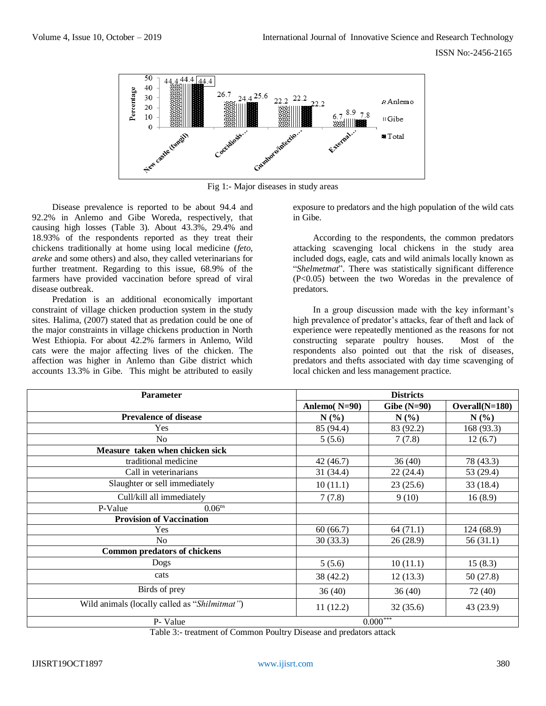

Fig 1:- Major diseases in study areas

Disease prevalence is reported to be about 94.4 and 92.2% in Anlemo and Gibe Woreda, respectively, that causing high losses (Table 3). About 43.3%, 29.4% and 18.93% of the respondents reported as they treat their chickens traditionally at home using local medicine (*feto, areke* and some others) and also, they called veterinarians for further treatment. Regarding to this issue, 68.9% of the farmers have provided vaccination before spread of viral disease outbreak.

Predation is an additional economically important constraint of village chicken production system in the study sites. Halima, (2007) stated that as predation could be one of the major constraints in village chickens production in North West Ethiopia. For about 42.2% farmers in Anlemo, Wild cats were the major affecting lives of the chicken. The affection was higher in Anlemo than Gibe district which accounts 13.3% in Gibe. This might be attributed to easily exposure to predators and the high population of the wild cats in Gibe.

According to the respondents, the common predators attacking scavenging local chickens in the study area included dogs, eagle, cats and wild animals locally known as "*Shelmetmat*". There was statistically significant difference (P<0.05) between the two Woredas in the prevalence of predators.

In a group discussion made with the key informant's high prevalence of predator's attacks, fear of theft and lack of experience were repeatedly mentioned as the reasons for not constructing separate poultry houses. Most of the respondents also pointed out that the risk of diseases, predators and thefts associated with day time scavenging of local chicken and less management practice.

| <b>Parameter</b>                              | <b>Districts</b> |               |                  |
|-----------------------------------------------|------------------|---------------|------------------|
|                                               | Anlemo( $N=90$ ) | Gibe $(N=90)$ | $Overall(N=180)$ |
| <b>Prevalence of disease</b>                  | $N(\%)$          | $N(\%)$       | $N(\%)$          |
| Yes                                           | 85 (94.4)        | 83 (92.2)     | 168 (93.3)       |
| No                                            | 5(5.6)           | 7(7.8)        | 12(6.7)          |
| Measure taken when chicken sick               |                  |               |                  |
| traditional medicine                          | 42 (46.7)        | 36(40)        | 78 (43.3)        |
| Call in veterinarians                         | 31(34.4)         | 22(24.4)      | 53 (29.4)        |
| Slaughter or sell immediately                 | 10(11.1)         | 23(25.6)      | 33(18.4)         |
| Cull/kill all immediately                     | 7(7.8)           | 9(10)         | 16(8.9)          |
| 0.06 <sup>ns</sup><br>P-Value                 |                  |               |                  |
| <b>Provision of Vaccination</b>               |                  |               |                  |
| Yes                                           | 60(66.7)         | 64(71.1)      | 124 (68.9)       |
| No                                            | 30(33.3)         | 26 (28.9)     | 56(31.1)         |
| <b>Common predators of chickens</b>           |                  |               |                  |
| Dogs                                          | 5(5.6)           | 10(11.1)      | 15(8.3)          |
| cats                                          | 38 (42.2)        | 12(13.3)      | 50(27.8)         |
| Birds of prey                                 | 36(40)           | 36(40)        | 72 (40)          |
| Wild animals (locally called as "Shilmitmat") | 11(12.2)         | 32(35.6)      | 43 (23.9)        |
| P- Value                                      |                  | $0.000***$    |                  |

Table 3:- treatment of Common Poultry Disease and predators attack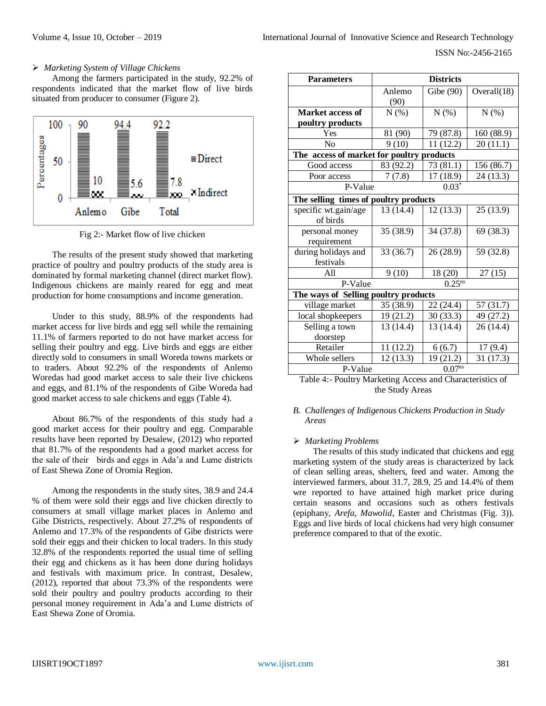ISSN No:-2456-2165

#### *Marketing System of Village Chickens*

Among the farmers participated in the study, 92.2% of respondents indicated that the market flow of live birds situated from producer to consumer (Figure 2).



Fig 2:- Market flow of live chicken

The results of the present study showed that marketing practice of poultry and poultry products of the study area is dominated by formal marketing channel (direct market flow). Indigenous chickens are mainly reared for egg and meat production for home consumptions and income generation.

Under to this study, 88.9% of the respondents had market access for live birds and egg sell while the remaining 11.1% of farmers reported to do not have market access for selling their poultry and egg. Live birds and eggs are either directly sold to consumers in small Woreda towns markets or to traders. About 92.2% of the respondents of Anlemo Woredas had good market access to sale their live chickens and eggs, and 81.1% of the respondents of Gibe Woreda had good market access to sale chickens and eggs (Table 4).

About 86.7% of the respondents of this study had a good market access for their poultry and egg. Comparable results have been reported by Desalew, (2012) who reported that 81.7% of the respondents had a good market access for the sale of their birds and eggs in Ada'a and Lume districts of East Shewa Zone of Oromia Region.

Among the respondents in the study sites, 38.9 and 24.4 % of them were sold their eggs and live chicken directly to consumers at small village market places in Anlemo and Gibe Districts, respectively. About 27.2% of respondents of Anlemo and 17.3% of the respondents of Gibe districts were sold their eggs and their chicken to local traders. In this study 32.8% of the respondents reported the usual time of selling their egg and chickens as it has been done during holidays and festivals with maximum price. In contrast, Desalew, (2012), reported that about 73.3% of the respondents were sold their poultry and poultry products according to their personal money requirement in Ada'a and Lume districts of East Shewa Zone of Oromia.

| <b>Parameters</b>                         | <b>Districts</b> |                    |             |  |
|-------------------------------------------|------------------|--------------------|-------------|--|
|                                           | Anlemo           | Gibe (90)          | Overall(18) |  |
|                                           | (90)             |                    |             |  |
| Market access of                          | N(%)             | N(% )              | N(% )       |  |
| poultry products                          |                  |                    |             |  |
| Yes                                       | 81 (90)          | 79 (87.8)          | 160 (88.9)  |  |
| N <sub>0</sub>                            | 9(10)            | 11(12.2)           | 20(11.1)    |  |
| The access of market for poultry products |                  |                    |             |  |
| Good access                               | 83 (92.2)        | 73 (81.1)          | 156 (86.7)  |  |
| Poor access                               | 7(7.8)           | 17(18.9)           | 24 (13.3)   |  |
| P-Value                                   |                  | $0.03*$            |             |  |
| The selling times of poultry products     |                  |                    |             |  |
| specific wt.gain/age                      | 13 (14.4)        | 12 (13.3)          | 25(13.9)    |  |
| of birds                                  |                  |                    |             |  |
| personal money                            | 35 (38.9)        | 34 (37.8)          | 69 (38.3)   |  |
| requirement                               |                  |                    |             |  |
| during holidays and                       | 33 (36.7)        | 26 (28.9)          | 59 (32.8)   |  |
| festivals                                 |                  |                    |             |  |
| All                                       | 9(10)            | 18 (20)            | 27(15)      |  |
| P-Value                                   |                  | $0.25^{ns}$        |             |  |
| The ways of Selling poultry products      |                  |                    |             |  |
| village market                            | 35 (38.9)        | 22 (24.4)          | 57 (31.7)   |  |
| local shopkeepers                         | 19 (21.2)        | 30(33.3)           | 49 (27.2)   |  |
| Selling a town                            | 13 (14.4)        | 13 (14.4)          | 26 (14.4)   |  |
| doorstep                                  |                  |                    |             |  |
| Retailer                                  | 11 (12.2)        | 6(6.7)             | 17(9.4)     |  |
| Whole sellers                             | 12(13.3)         | 19 (21.2)          | 31(17.3)    |  |
| P-Value                                   |                  | 0.07 <sup>ns</sup> |             |  |

Table 4:- Poultry Marketing Access and Characteristics of the Study Areas

## *B. Challenges of Indigenous Chickens Production in Study Areas*

## *Marketing Problems*

The results of this study indicated that chickens and egg marketing system of the study areas is characterized by lack of clean selling areas, shelters, feed and water. Among the interviewed farmers, about 31.7, 28.9, 25 and 14.4% of them wre reported to have attained high market price during certain seasons and occasions such as others festivals (epiphany*, Arefa, Mawolid*, Easter and Christmas (Fig. 3)). Eggs and live birds of local chickens had very high consumer preference compared to that of the exotic.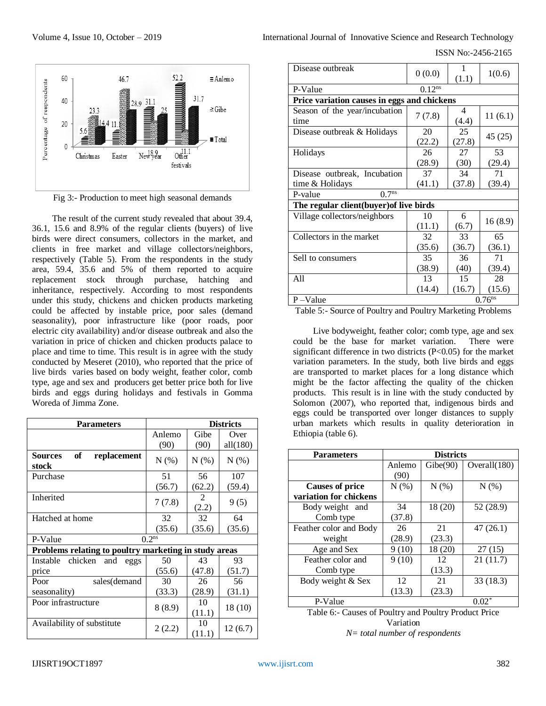

Fig 3:- Production to meet high seasonal demands

The result of the current study revealed that about 39.4, 36.1, 15.6 and 8.9% of the regular clients (buyers) of live birds were direct consumers, collectors in the market, and clients in free market and village collectors/neighbors, respectively (Table 5). From the respondents in the study area, 59.4, 35.6 and 5% of them reported to acquire replacement stock through purchase, hatching and inheritance, respectively. According to most respondents under this study, chickens and chicken products marketing could be affected by instable price, poor sales (demand seasonality), poor infrastructure like (poor roads, poor electric city availability) and/or disease outbreak and also the variation in price of chicken and chicken products palace to place and time to time. This result is in agree with the study conducted by Meseret (2010), who reported that the price of live birds varies based on body weight, feather color, comb type, age and sex and producers get better price both for live birds and eggs during holidays and festivals in Gomma Woreda of Jimma Zone.

| <b>Parameters</b>                                     | <b>Districts</b> |              |          |  |
|-------------------------------------------------------|------------------|--------------|----------|--|
|                                                       | Anlemo           | Gibe         | Over     |  |
|                                                       | (90)             | (90)         | all(180) |  |
| of<br><b>Sources</b><br>replacement<br>stock          | $N(\%)$          | $N(\%)$      | $N(\%)$  |  |
| Purchase                                              | 51               | 56           | 107      |  |
|                                                       | (56.7)           | (62.2)       | (59.4)   |  |
| Inherited                                             | 7(7.8)           | 2<br>(2.2)   | 9(5)     |  |
| Hatched at home                                       | 32               | 32           | 64       |  |
|                                                       | (35.6)           | (35.6)       | (35.6)   |  |
| 0.2 <sup>ns</sup><br>P-Value                          |                  |              |          |  |
| Problems relating to poultry marketing in study areas |                  |              |          |  |
| chicken<br>Instable<br>and<br>eggs                    | 50               | 43           | 93       |  |
| price                                                 | (55.6)           | (47.8)       | (51.7)   |  |
| Poor<br>sales(demand                                  | 30               | 26           | 56       |  |
| seasonality)                                          | (33.3)           | (28.9)       | (31.1)   |  |
| Poor infrastructure                                   | 8(8.9)           | 10<br>(11.1) | 18 (10)  |  |
| Availability of substitute                            | 2(2.2)           | 10<br>(11.1) | 12(6.7)  |  |

Volume 4, Issue 10, October – 2019 **International Journal Sournal of Innovative Science and Research Technology** 

ISSN No:-2456-2165

| Disease outbreak                            | 0(0.0)       | 1<br>(1.1)   | 1(0.6)  |  |
|---------------------------------------------|--------------|--------------|---------|--|
| P-Value                                     | $0.12^{ns}$  |              |         |  |
| Price variation causes in eggs and chickens |              |              |         |  |
| Season of the year/incubation<br>time       | 7(7.8)       | 4<br>(4.4)   | 11(6.1) |  |
| Disease outbreak & Holidays                 | 20<br>(22.2) | 25<br>(27.8) | 45 (25) |  |
| Holidays                                    | 26           | 27           | 53      |  |
|                                             | (28.9)       | (30)         | (29.4)  |  |
| Disease outbreak, Incubation                | 37           | 34           | 71      |  |
| time & Holidays                             | (41.1)       | (37.8)       | (39.4)  |  |
| 0.7 <sup>ns</sup><br>P-value                |              |              |         |  |
| The regular client(buyer) of live birds     |              |              |         |  |
| Village collectors/neighbors                | 10           | 6            | 16(8.9) |  |
|                                             | (11.1)       | (6.7)        |         |  |
| Collectors in the market                    | 32           | 33           | 65      |  |
|                                             | (35.6)       | (36.7)       | (36.1)  |  |
| Sell to consumers                           | 35           | 36           | 71      |  |
|                                             | (38.9)       | (40)         | (39.4)  |  |
| All                                         | 13           | 15           | 28      |  |
|                                             | (14.4)       | (16.7)       | (15.6)  |  |
| $0.76$ <sup>ns</sup><br>$P - Value$         |              |              |         |  |

Table 5:- Source of Poultry and Poultry Marketing Problems

Live bodyweight, feather color; comb type, age and sex could be the base for market variation. There were significant difference in two districts (P<0.05) for the market variation parameters. In the study, both live birds and eggs are transported to market places for a long distance which might be the factor affecting the quality of the chicken products. This result is in line with the study conducted by Solomon (2007), who reported that, indigenous birds and eggs could be transported over longer distances to supply urban markets which results in quality deterioration in Ethiopia (table 6).

| <b>Parameters</b>      | <b>Districts</b> |          |              |  |
|------------------------|------------------|----------|--------------|--|
|                        | Anlemo           | Gibe(90) | Overall(180) |  |
|                        | (90)             |          |              |  |
| <b>Causes of price</b> | N(% )            | N(% )    | N(% )        |  |
| variation for chickens |                  |          |              |  |
| Body weight and        | 34               | 18 (20)  | 52 (28.9)    |  |
| Comb type              | (37.8)           |          |              |  |
| Feather color and Body | 26               | 21       | 47(26.1)     |  |
| weight                 | (28.9)           | (23.3)   |              |  |
| Age and Sex            | 9(10)            | 18 (20)  | 27(15)       |  |
| Feather color and      | 9(10)            | 12       | 21(11.7)     |  |
| Comb type              |                  | (13.3)   |              |  |
| Body weight & Sex      | 12               | 21       | 33(18.3)     |  |
|                        | (13.3)           | (23.3)   |              |  |
| P-Value                |                  |          | $0.02*$      |  |

Table 6:- Causes of Poultry and Poultry Product Price Variation *N= total number of respondents*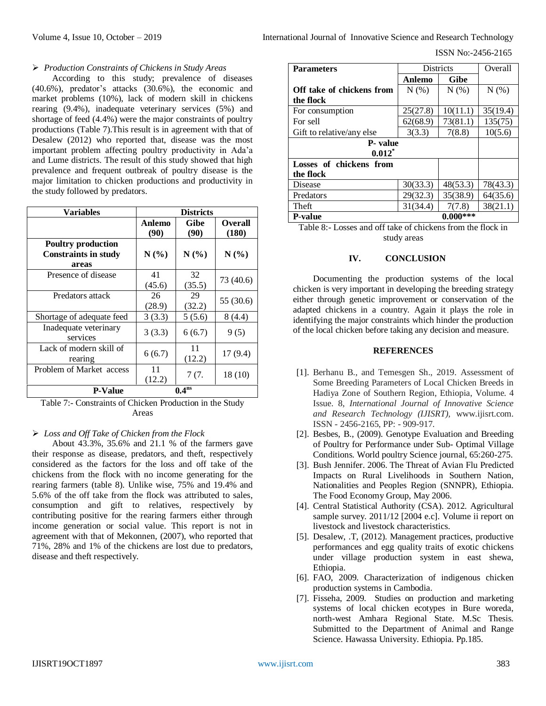ISSN No:-2456-2165

#### *Production Constraints of Chickens in Study Areas*

According to this study; prevalence of diseases (40.6%), predator's attacks (30.6%), the economic and market problems (10%), lack of modern skill in chickens rearing (9.4%), inadequate veterinary services (5%) and shortage of feed (4.4%) were the major constraints of poultry productions (Table 7).This result is in agreement with that of Desalew (2012) who reported that, disease was the most important problem affecting poultry productivity in Ada'a and Lume districts. The result of this study showed that high prevalence and frequent outbreak of poultry disease is the major limitation to chicken productions and productivity in the study followed by predators.

| <b>Variables</b>                                                  | <b>Districts</b> |                     |                         |
|-------------------------------------------------------------------|------------------|---------------------|-------------------------|
|                                                                   | Anlemo<br>(90)   | <b>Gibe</b><br>(90) | <b>Overall</b><br>(180) |
| <b>Poultry production</b><br><b>Constraints in study</b><br>areas | N(%)             | N(%)                | N(%)                    |
| Presence of disease                                               | 41<br>(45.6)     | 32<br>(35.5)        | 73 (40.6)               |
| Predators attack                                                  | 26<br>(28.9)     | 29<br>(32.2)        | 55 (30.6)               |
| Shortage of adequate feed                                         | 3(3.3)           | 5(5.6)              | 8(4.4)                  |
| Inadequate veterinary<br>services                                 | 3(3.3)           | 6(6.7)              | 9(5)                    |
| Lack of modern skill of<br>rearing                                | 6(6.7)           | 11<br>(12.2)        | 17(9.4)                 |
| Problem of Market access                                          | 11<br>(12.2)     | 7(7.                | 18(10)                  |
| <b>P-Value</b>                                                    |                  | 0.4 <sup>ns</sup>   |                         |

Table 7:- Constraints of Chicken Production in the Study Areas

#### *Loss and Off Take of Chicken from the Flock*

About 43.3%, 35.6% and 21.1 % of the farmers gave their response as disease, predators, and theft, respectively considered as the factors for the loss and off take of the chickens from the flock with no income generating for the rearing farmers (table 8). Unlike wise, 75% and 19.4% and 5.6% of the off take from the flock was attributed to sales, consumption and gift to relatives, respectively by contributing positive for the rearing farmers either through income generation or social value. This report is not in agreement with that of Mekonnen, (2007), who reported that 71%, 28% and 1% of the chickens are lost due to predators, disease and theft respectively.

| <b>Parameters</b>         | Districts |             | Overall  |
|---------------------------|-----------|-------------|----------|
|                           | Anlemo    | <b>Gibe</b> |          |
| Off take of chickens from | $N(\%)$   | $N(\%)$     | $N(\%)$  |
| the flock                 |           |             |          |
| For consumption           | 25(27.8)  | 10(11.1)    | 35(19.4) |
| For sell                  | 62(68.9)  | 73(81.1)    | 135(75)  |
| Gift to relative/any else | 3(3.3)    | 7(8.8)      | 10(5.6)  |
| <b>P</b> - value          |           |             |          |
| $0.012^*$                 |           |             |          |
| Losses of chickens from   |           |             |          |
| the flock                 |           |             |          |
| Disease                   | 30(33.3)  | 48(53.3)    | 78(43.3) |
| Predators                 | 29(32.3)  | 35(38.9)    | 64(35.6) |
| Theft                     | 31(34.4)  | 7(7.8)      | 38(21.1) |
| <b>P-value</b>            |           | $0.000***$  |          |

Table 8:- Losses and off take of chickens from the flock in study areas

#### **IV. CONCLUSION**

Documenting the production systems of the local chicken is very important in developing the breeding strategy either through genetic improvement or conservation of the adapted chickens in a country. Again it plays the role in identifying the major constraints which hinder the production of the local chicken before taking any decision and measure.

#### **REFERENCES**

- [1]. Berhanu B., and Temesgen Sh., 2019. Assessment of Some Breeding Parameters of Local Chicken Breeds in Hadiya Zone of Southern Region, Ethiopia, Volume. 4 Issue. 8, *International Journal of Innovative Science and Research Technology (IJISRT),* www.ijisrt.com. ISSN - 2456-2165, PP: - 909-917.
- [2]. Besbes, B., (2009). Genotype Evaluation and Breeding of Poultry for Performance under Sub- Optimal Village Conditions. World poultry Science journal, 65:260-275.
- [3]. Bush Jennifer. 2006. The Threat of Avian Flu Predicted Impacts on Rural Livelihoods in Southern Nation, Nationalities and Peoples Region (SNNPR), Ethiopia. The Food Economy Group, May 2006.
- [4]. Central Statistical Authority (CSA). 2012. Agricultural sample survey. 2011/12 [2004 e.c]. Volume ii report on livestock and livestock characteristics.
- [5]. Desalew, .T, (2012). Management practices, productive performances and egg quality traits of exotic chickens under village production system in east shewa, Ethiopia.
- [6]. FAO, 2009. Characterization of indigenous chicken production systems in Cambodia.
- [7]. Fisseha, 2009. Studies on production and marketing systems of local chicken ecotypes in Bure woreda, north-west Amhara Regional State. M.Sc Thesis. Submitted to the Department of Animal and Range Science. Hawassa University. Ethiopia. Pp.185.